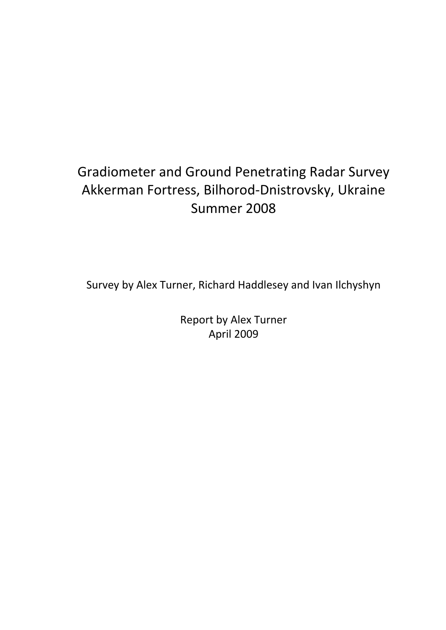# Gradiometer and Ground Penetrating Radar Survey Akkerman Fortress, Bilhorod‐Dnistrovsky, Ukraine Summer 2008

Survey by Alex Turner, Richard Haddlesey and Ivan Ilchyshyn

Report by Alex Turner April 2009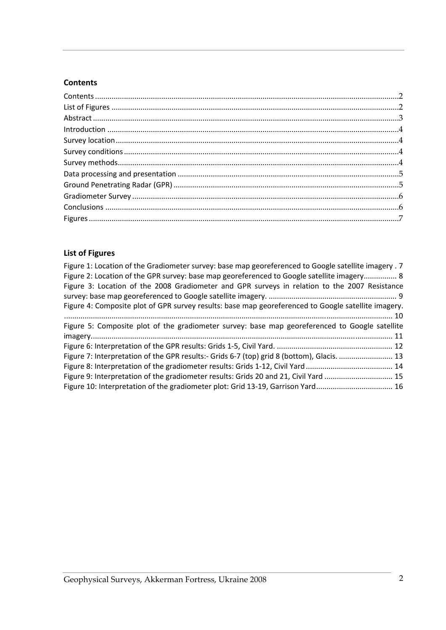# <span id="page-1-0"></span>**Contents**

# **List of Figures**

| Figure 1: Location of the Gradiometer survey: base map georeferenced to Google satellite imagery . 7 |  |
|------------------------------------------------------------------------------------------------------|--|
| Figure 2: Location of the GPR survey: base map georeferenced to Google satellite imagery 8           |  |
| Figure 3: Location of the 2008 Gradiometer and GPR surveys in relation to the 2007 Resistance        |  |
|                                                                                                      |  |
| Figure 4: Composite plot of GPR survey results: base map georeferenced to Google satellite imagery.  |  |
|                                                                                                      |  |
| Figure 5: Composite plot of the gradiometer survey: base map georeferenced to Google satellite       |  |
|                                                                                                      |  |
|                                                                                                      |  |
| Figure 7: Interpretation of the GPR results:- Grids 6-7 (top) grid 8 (bottom), Glacis.  13           |  |
|                                                                                                      |  |
| Figure 9: Interpretation of the gradiometer results: Grids 20 and 21, Civil Yard  15                 |  |
| Figure 10: Interpretation of the gradiometer plot: Grid 13-19, Garrison Yard 16                      |  |
|                                                                                                      |  |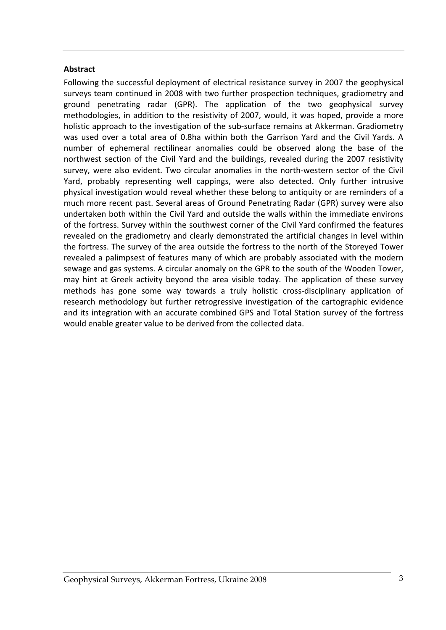#### <span id="page-2-0"></span>**Abstract**

Following the successful deployment of electrical resistance survey in 2007 the geophysical surveys team continued in 2008 with two further prospection techniques, gradiometry and ground penetrating radar (GPR). The application of the two geophysical survey methodologies, in addition to the resistivity of 2007, would, it was hoped, provide a more holistic approach to the investigation of the sub‐surface remains at Akkerman. Gradiometry was used over a total area of 0.8ha within both the Garrison Yard and the Civil Yards. A number of ephemeral rectilinear anomalies could be observed along the base of the northwest section of the Civil Yard and the buildings, revealed during the 2007 resistivity survey, were also evident. Two circular anomalies in the north-western sector of the Civil Yard, probably representing well cappings, were also detected. Only further intrusive physical investigation would reveal whether these belong to antiquity or are reminders of a much more recent past. Several areas of Ground Penetrating Radar (GPR) survey were also undertaken both within the Civil Yard and outside the walls within the immediate environs of the fortress. Survey within the southwest corner of the Civil Yard confirmed the features revealed on the gradiometry and clearly demonstrated the artificial changes in level within the fortress. The survey of the area outside the fortress to the north of the Storeyed Tower revealed a palimpsest of features many of which are probably associated with the modern sewage and gas systems. A circular anomaly on the GPR to the south of the Wooden Tower, may hint at Greek activity beyond the area visible today. The application of these survey methods has gone some way towards a truly holistic cross-disciplinary application of research methodology but further retrogressive investigation of the cartographic evidence and its integration with an accurate combined GPS and Total Station survey of the fortress would enable greater value to be derived from the collected data.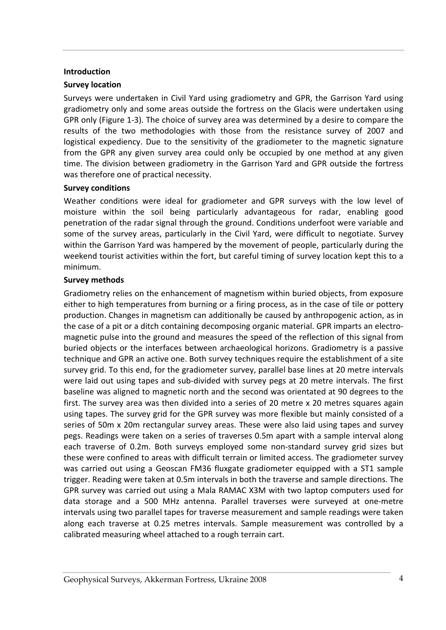#### <span id="page-3-0"></span>**Introduction**

#### **Survey location**

Surveys were undertaken in Civil Yard using gradiometry and GPR, the Garrison Yard using gradiometry only and some areas outside the fortress on the Glacis were undertaken using GPR only (Figure 1‐3). The choice of survey area was determined by a desire to compare the results of the two methodologies with those from the resistance survey of 2007 and logistical expediency. Due to the sensitivity of the gradiometer to the magnetic signature from the GPR any given survey area could only be occupied by one method at any given time. The division between gradiometry in the Garrison Yard and GPR outside the fortress was therefore one of practical necessity.

#### **Survey conditions**

Weather conditions were ideal for gradiometer and GPR surveys with the low level of moisture within the soil being particularly advantageous for radar, enabling good penetration of the radar signal through the ground. Conditions underfoot were variable and some of the survey areas, particularly in the Civil Yard, were difficult to negotiate. Survey within the Garrison Yard was hampered by the movement of people, particularly during the weekend tourist activities within the fort, but careful timing of survey location kept this to a minimum.

#### **Survey methods**

Gradiometry relies on the enhancement of magnetism within buried objects, from exposure either to high temperatures from burning or a firing process, as in the case of tile or pottery production. Changes in magnetism can additionally be caused by anthropogenic action, as in the case of a pit or a ditch containing decomposing organic material. GPR imparts an electro‐ magnetic pulse into the ground and measures the speed of the reflection of this signal from buried objects or the interfaces between archaeological horizons. Gradiometry is a passive technique and GPR an active one. Both survey techniques require the establishment of a site survey grid. To this end, for the gradiometer survey, parallel base lines at 20 metre intervals were laid out using tapes and sub‐divided with survey pegs at 20 metre intervals. The first baseline was aligned to magnetic north and the second was orientated at 90 degrees to the first. The survey area was then divided into a series of 20 metre x 20 metres squares again using tapes. The survey grid for the GPR survey was more flexible but mainly consisted of a series of 50m x 20m rectangular survey areas. These were also laid using tapes and survey pegs. Readings were taken on a series of traverses 0.5m apart with a sample interval along each traverse of 0.2m. Both surveys employed some non‐standard survey grid sizes but these were confined to areas with difficult terrain or limited access. The gradiometer survey was carried out using a Geoscan FM36 fluxgate gradiometer equipped with a ST1 sample trigger. Reading were taken at 0.5m intervals in both the traverse and sample directions. The GPR survey was carried out using a Mala RAMAC X3M with two laptop computers used for data storage and a 500 MHz antenna. Parallel traverses were surveyed at one‐metre intervals using two parallel tapes for traverse measurement and sample readings were taken along each traverse at 0.25 metres intervals. Sample measurement was controlled by a calibrated measuring wheel attached to a rough terrain cart.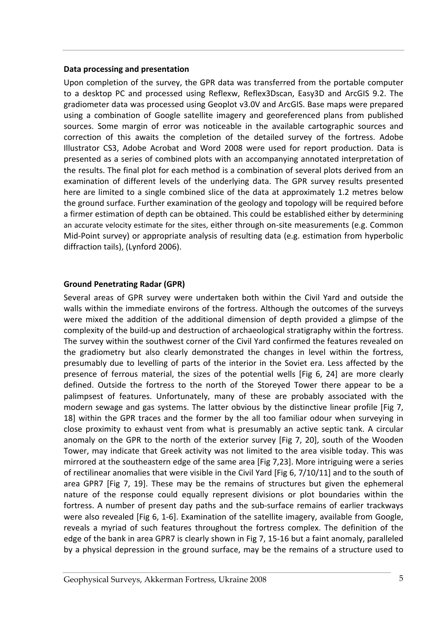#### <span id="page-4-0"></span>**Data processing and presentation**

Upon completion of the survey, the GPR data was transferred from the portable computer to a desktop PC and processed using Reflexw, Reflex3Dscan, Easy3D and ArcGIS 9.2. The gradiometer data was processed using Geoplot v3.0V and ArcGIS. Base maps were prepared using a combination of Google satellite imagery and georeferenced plans from published sources. Some margin of error was noticeable in the available cartographic sources and correction of this awaits the completion of the detailed survey of the fortress. Adobe Illustrator CS3, Adobe Acrobat and Word 2008 were used for report production. Data is presented as a series of combined plots with an accompanying annotated interpretation of the results. The final plot for each method is a combination of several plots derived from an examination of different levels of the underlying data. The GPR survey results presented here are limited to a single combined slice of the data at approximately 1.2 metres below the ground surface. Further examination of the geology and topology will be required before a firmer estimation of depth can be obtained. This could be established either by determining an accurate velocity estimate for the sites, either through on‐site measurements (e.g. Common Mid‐Point survey) or appropriate analysis of resulting data (e.g. estimation from hyperbolic diffraction tails), (Lynford 2006).

#### **Ground Penetrating Radar (GPR)**

Several areas of GPR survey were undertaken both within the Civil Yard and outside the walls within the immediate environs of the fortress. Although the outcomes of the surveys were mixed the addition of the additional dimension of depth provided a glimpse of the complexity of the build-up and destruction of archaeological stratigraphy within the fortress. The survey within the southwest corner of the Civil Yard confirmed the features revealed on the gradiometry but also clearly demonstrated the changes in level within the fortress, presumably due to levelling of parts of the interior in the Soviet era. Less affected by the presence of ferrous material, the sizes of the potential wells [Fig 6, 24] are more clearly defined. Outside the fortress to the north of the Storeyed Tower there appear to be a palimpsest of features. Unfortunately, many of these are probably associated with the modern sewage and gas systems. The latter obvious by the distinctive linear profile [Fig 7, 18] within the GPR traces and the former by the all too familiar odour when surveying in close proximity to exhaust vent from what is presumably an active septic tank. A circular anomaly on the GPR to the north of the exterior survey [Fig 7, 20], south of the Wooden Tower, may indicate that Greek activity was not limited to the area visible today. This was mirrored at the southeastern edge of the same area [Fig 7,23]. More intriguing were a series of rectilinear anomalies that were visible in the Civil Yard [Fig 6, 7/10/11] and to the south of area GPR7 [Fig 7, 19]. These may be the remains of structures but given the ephemeral nature of the response could equally represent divisions or plot boundaries within the fortress. A number of present day paths and the sub-surface remains of earlier trackways were also revealed [Fig 6, 1-6]. Examination of the satellite imagery, available from Google, reveals a myriad of such features throughout the fortress complex. The definition of the edge of the bank in area GPR7 is clearly shown in Fig 7, 15-16 but a faint anomaly, paralleled by a physical depression in the ground surface, may be the remains of a structure used to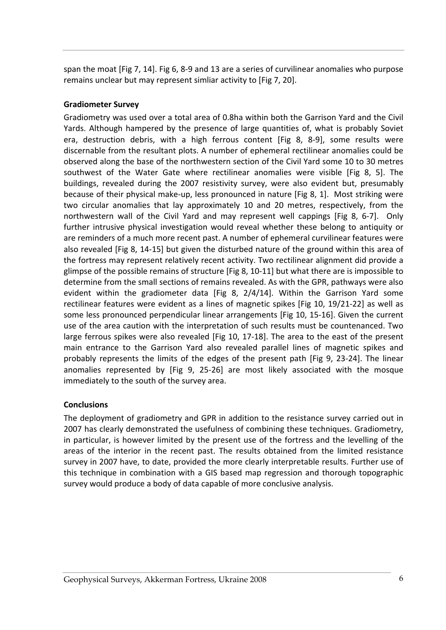<span id="page-5-0"></span>span the moat [Fig 7, 14]. Fig 6, 8‐9 and 13 are a series of curvilinear anomalies who purpose remains unclear but may represent simliar activity to [Fig 7, 20].

#### **Gradiometer Survey**

Gradiometry was used over a total area of 0.8ha within both the Garrison Yard and the Civil Yards. Although hampered by the presence of large quantities of, what is probably Soviet era, destruction debris, with a high ferrous content [Fig 8, 8‐9], some results were discernable from the resultant plots. A number of ephemeral rectilinear anomalies could be observed along the base of the northwestern section of the Civil Yard some 10 to 30 metres southwest of the Water Gate where rectilinear anomalies were visible [Fig 8, 5]. The buildings, revealed during the 2007 resistivity survey, were also evident but, presumably because of their physical make‐up, less pronounced in nature [Fig 8, 1]. Most striking were two circular anomalies that lay approximately 10 and 20 metres, respectively, from the northwestern wall of the Civil Yard and may represent well cappings [Fig 8, 6-7]. Only further intrusive physical investigation would reveal whether these belong to antiquity or are reminders of a much more recent past. A number of ephemeral curvilinear features were also revealed [Fig 8, 14‐15] but given the disturbed nature of the ground within this area of the fortress may represent relatively recent activity. Two rectilinear alignment did provide a glimpse of the possible remains of structure [Fig 8, 10‐11] but what there are is impossible to determine from the small sections of remains revealed. As with the GPR, pathways were also evident within the gradiometer data [Fig 8, 2/4/14]. Within the Garrison Yard some rectilinear features were evident as a lines of magnetic spikes [Fig 10, 19/21‐22] as well as some less pronounced perpendicular linear arrangements [Fig 10, 15-16]. Given the current use of the area caution with the interpretation of such results must be countenanced. Two large ferrous spikes were also revealed [Fig 10, 17‐18]. The area to the east of the present main entrance to the Garrison Yard also revealed parallel lines of magnetic spikes and probably represents the limits of the edges of the present path [Fig 9, 23‐24]. The linear anomalies represented by [Fig 9, 25‐26] are most likely associated with the mosque immediately to the south of the survey area.

### **Conclusions**

The deployment of gradiometry and GPR in addition to the resistance survey carried out in 2007 has clearly demonstrated the usefulness of combining these techniques. Gradiometry, in particular, is however limited by the present use of the fortress and the levelling of the areas of the interior in the recent past. The results obtained from the limited resistance survey in 2007 have, to date, provided the more clearly interpretable results. Further use of this technique in combination with a GIS based map regression and thorough topographic survey would produce a body of data capable of more conclusive analysis.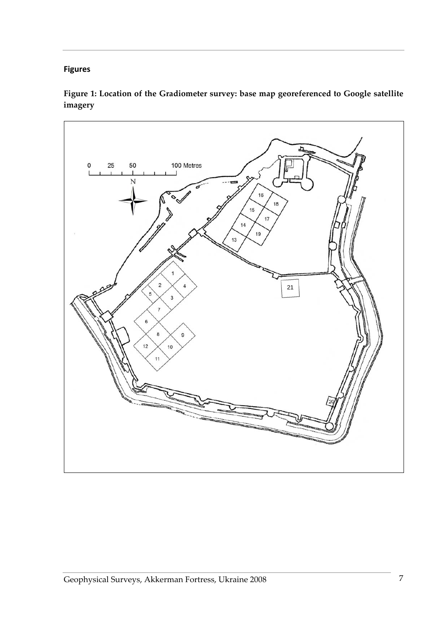## <span id="page-6-0"></span>**Figures**



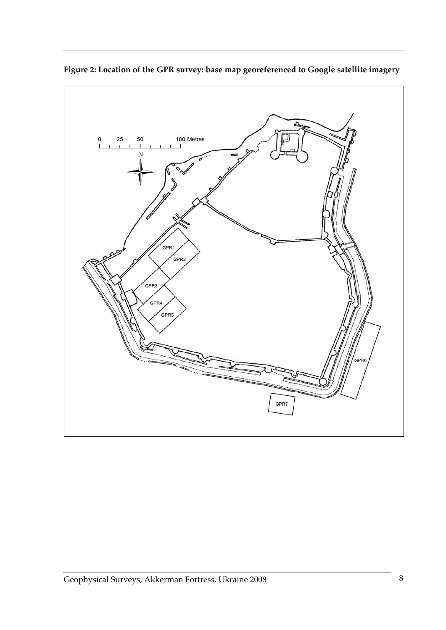

<span id="page-7-0"></span>**Figure 2: Location of the GPR survey: base map georeferenced to Google satellite imagery**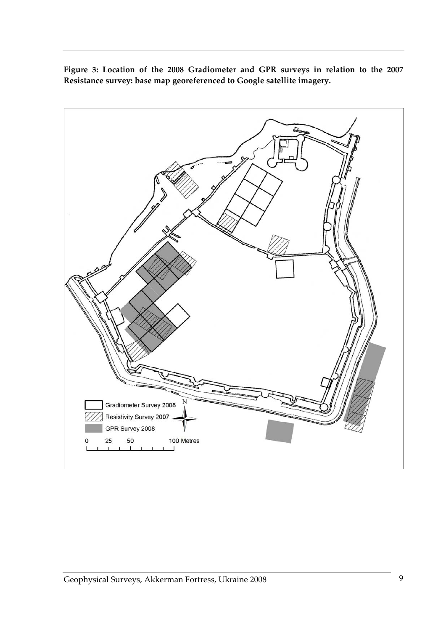<span id="page-8-0"></span>**Figure 3: Location of the 2008 Gradiometer and GPR surveys in relation to the 2007 Resistance survey: base map georeferenced to Google satellite imagery.**

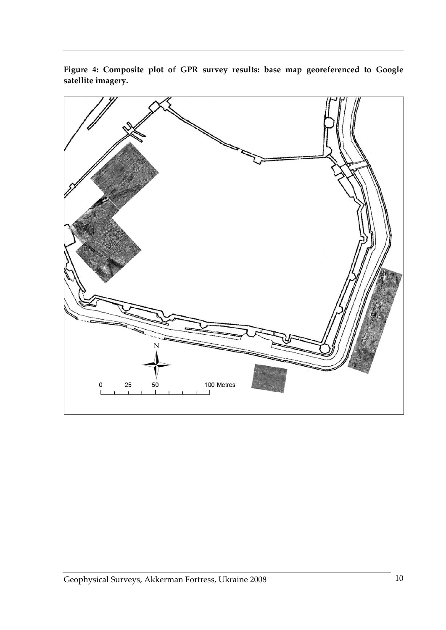

<span id="page-9-0"></span>**Figure 4: Composite plot of GPR survey results: base map georeferenced to Google satellite imagery.**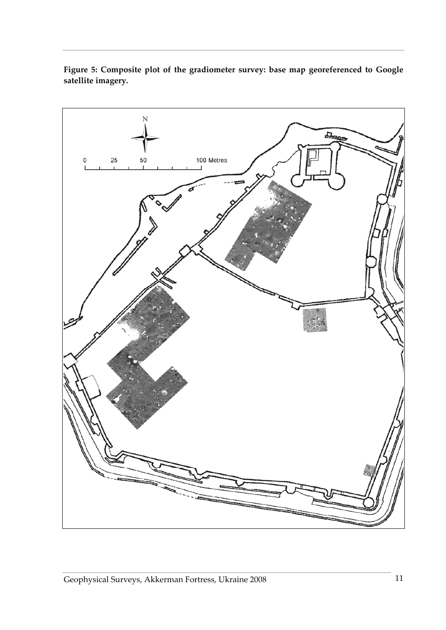

<span id="page-10-0"></span>**Figure 5: Composite plot of the gradiometer survey: base map georeferenced to Google satellite imagery.**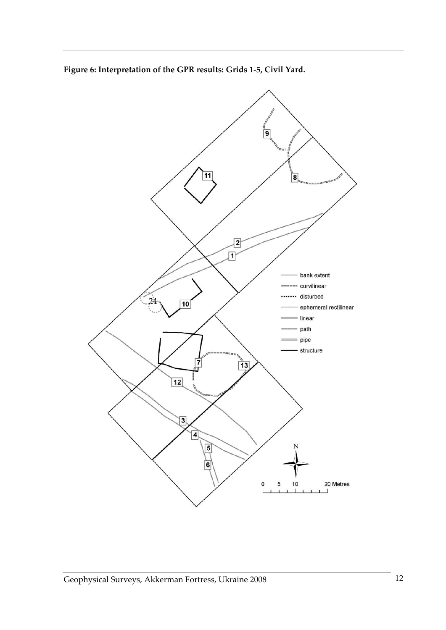<span id="page-11-0"></span>

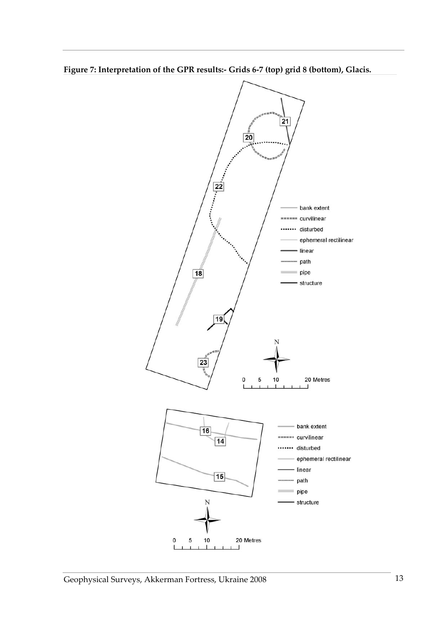<span id="page-12-0"></span>**Figure 7: Interpretation of the GPR results:‐ Grids 6‐7 (top) grid 8 (bottom), Glacis.** 

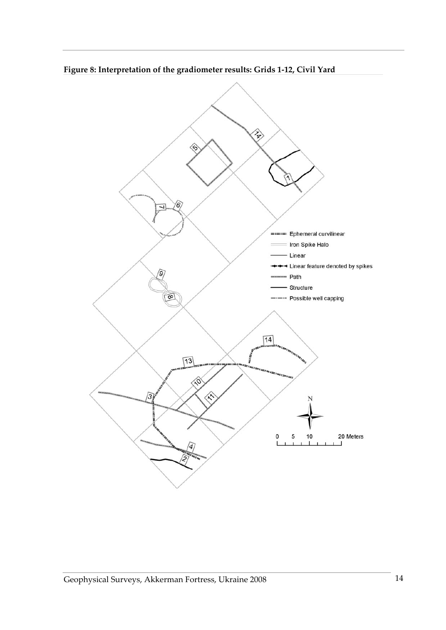

<span id="page-13-0"></span>**Figure 8: Interpretation of the gradiometer results: Grids 1‐12, Civil Yard**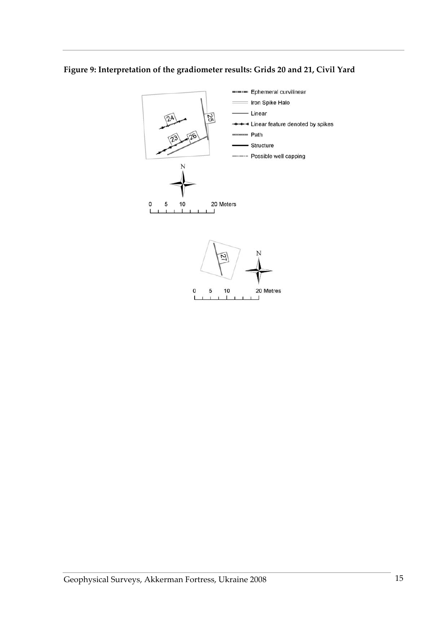<span id="page-14-0"></span>

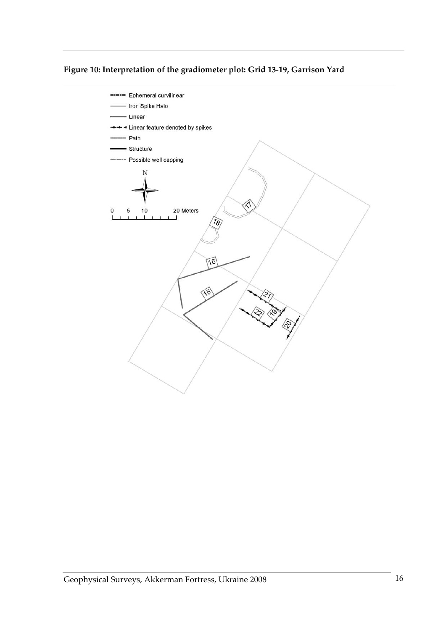<span id="page-15-0"></span>